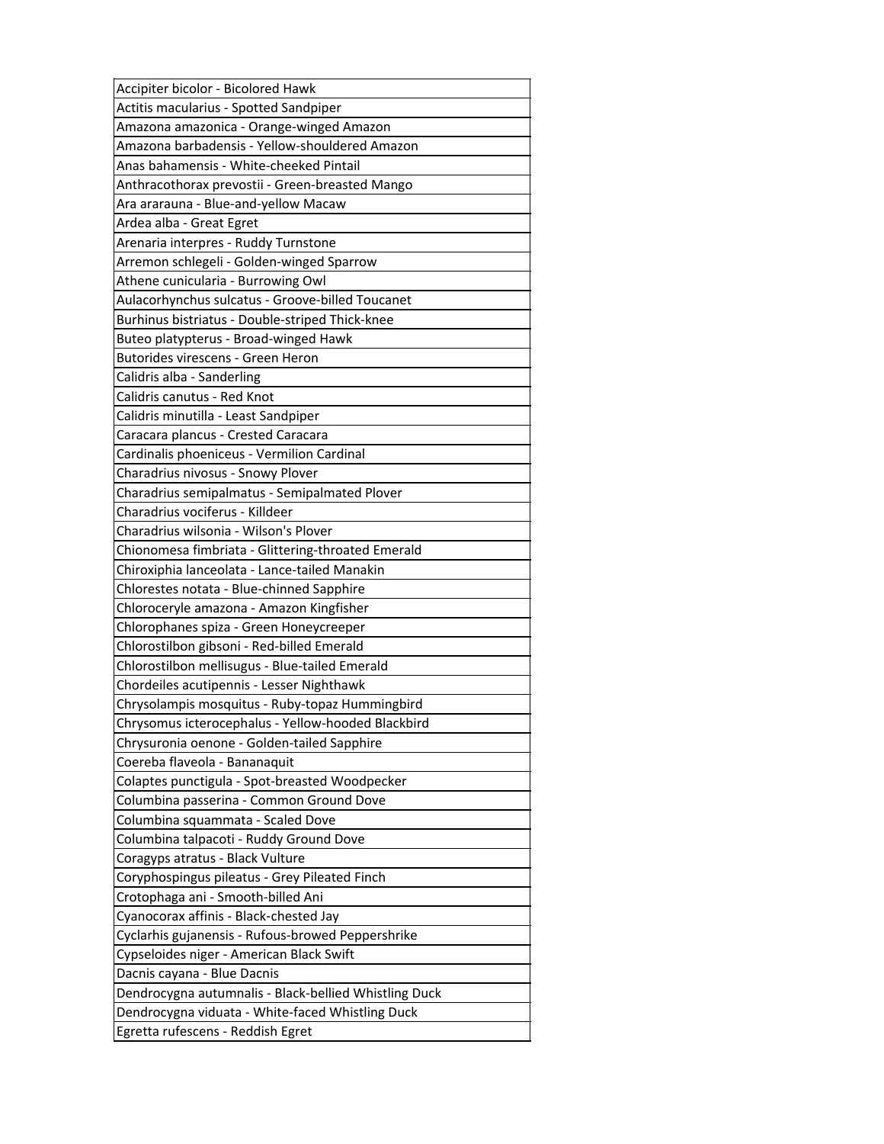| Accipiter bicolor - Bicolored Hawk                    |
|-------------------------------------------------------|
| Actitis macularius - Spotted Sandpiper                |
| Amazona amazonica - Orange-winged Amazon              |
| Amazona barbadensis - Yellow-shouldered Amazon        |
| Anas bahamensis - White-cheeked Pintail               |
| Anthracothorax prevostii - Green-breasted Mango       |
| Ara ararauna - Blue-and-yellow Macaw                  |
| Ardea alba - Great Egret                              |
| Arenaria interpres - Ruddy Turnstone                  |
| Arremon schlegeli - Golden-winged Sparrow             |
| Athene cunicularia - Burrowing Owl                    |
| Aulacorhynchus sulcatus - Groove-billed Toucanet      |
| Burhinus bistriatus - Double-striped Thick-knee       |
| Buteo platypterus - Broad-winged Hawk                 |
| Butorides virescens - Green Heron                     |
| Calidris alba - Sanderling                            |
| Calidris canutus - Red Knot                           |
| Calidris minutilla - Least Sandpiper                  |
| Caracara plancus - Crested Caracara                   |
| Cardinalis phoeniceus - Vermilion Cardinal            |
| Charadrius nivosus - Snowy Plover                     |
| Charadrius semipalmatus - Semipalmated Plover         |
| Charadrius vociferus - Killdeer                       |
| Charadrius wilsonia - Wilson's Plover                 |
| Chionomesa fimbriata - Glittering-throated Emerald    |
| Chiroxiphia lanceolata - Lance-tailed Manakin         |
| Chlorestes notata - Blue-chinned Sapphire             |
| Chloroceryle amazona - Amazon Kingfisher              |
| Chlorophanes spiza - Green Honeycreeper               |
| Chlorostilbon gibsoni - Red-billed Emerald            |
| Chlorostilbon mellisugus - Blue-tailed Emerald        |
| Chordeiles acutipennis - Lesser Nighthawk             |
| Chrysolampis mosquitus - Ruby-topaz Hummingbird       |
| Chrysomus icterocephalus - Yellow-hooded Blackbird    |
| Chrysuronia oenone - Golden-tailed Sapphire           |
| Coereba flaveola - Bananaquit                         |
| Colaptes punctigula - Spot-breasted Woodpecker        |
| Columbina passerina - Common Ground Dove              |
| Columbina squammata - Scaled Dove                     |
| Columbina talpacoti - Ruddy Ground Dove               |
| Coragyps atratus - Black Vulture                      |
| Coryphospingus pileatus - Grey Pileated Finch         |
| Crotophaga ani - Smooth-billed Ani                    |
| Cyanocorax affinis - Black-chested Jay                |
| Cyclarhis gujanensis - Rufous-browed Peppershrike     |
| Cypseloides niger - American Black Swift              |
| Dacnis cayana - Blue Dacnis                           |
| Dendrocygna autumnalis - Black-bellied Whistling Duck |
| Dendrocygna viduata - White-faced Whistling Duck      |
| Egretta rufescens - Reddish Egret                     |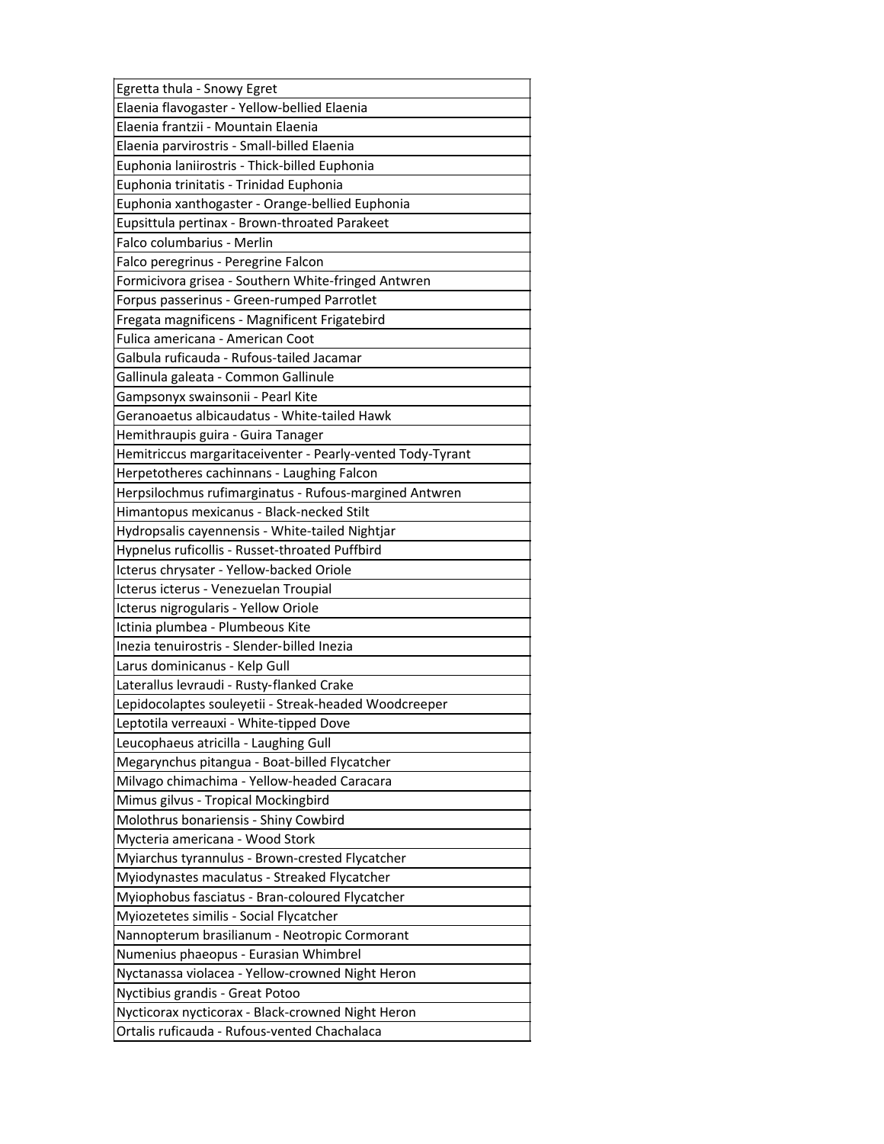| Egretta thula - Snowy Egret                                |
|------------------------------------------------------------|
| Elaenia flavogaster - Yellow-bellied Elaenia               |
| Elaenia frantzii - Mountain Elaenia                        |
| Elaenia parvirostris - Small-billed Elaenia                |
| Euphonia laniirostris - Thick-billed Euphonia              |
| Euphonia trinitatis - Trinidad Euphonia                    |
| Euphonia xanthogaster - Orange-bellied Euphonia            |
| Eupsittula pertinax - Brown-throated Parakeet              |
| Falco columbarius - Merlin                                 |
| Falco peregrinus - Peregrine Falcon                        |
| Formicivora grisea - Southern White-fringed Antwren        |
| Forpus passerinus - Green-rumped Parrotlet                 |
| Fregata magnificens - Magnificent Frigatebird              |
| Fulica americana - American Coot                           |
| Galbula ruficauda - Rufous-tailed Jacamar                  |
| Gallinula galeata - Common Gallinule                       |
| Gampsonyx swainsonii - Pearl Kite                          |
| Geranoaetus albicaudatus - White-tailed Hawk               |
| Hemithraupis guira - Guira Tanager                         |
| Hemitriccus margaritaceiventer - Pearly-vented Tody-Tyrant |
| Herpetotheres cachinnans - Laughing Falcon                 |
| Herpsilochmus rufimarginatus - Rufous-margined Antwren     |
| Himantopus mexicanus - Black-necked Stilt                  |
| Hydropsalis cayennensis - White-tailed Nightjar            |
| Hypnelus ruficollis - Russet-throated Puffbird             |
| Icterus chrysater - Yellow-backed Oriole                   |
| Icterus icterus - Venezuelan Troupial                      |
| Icterus nigrogularis - Yellow Oriole                       |
| Ictinia plumbea - Plumbeous Kite                           |
| Inezia tenuirostris - Slender-billed Inezia                |
| Larus dominicanus - Kelp Gull                              |
| Laterallus levraudi - Rusty-flanked Crake                  |
|                                                            |
| Lepidocolaptes souleyetii - Streak-headed Woodcreeper      |
| Leptotila verreauxi - White-tipped Dove                    |
| Leucophaeus atricilla - Laughing Gull                      |
| Megarynchus pitangua - Boat-billed Flycatcher              |
| Milvago chimachima - Yellow-headed Caracara                |
| Mimus gilvus - Tropical Mockingbird                        |
| Molothrus bonariensis - Shiny Cowbird                      |
| Mycteria americana - Wood Stork                            |
| Myiarchus tyrannulus - Brown-crested Flycatcher            |
| Myiodynastes maculatus - Streaked Flycatcher               |
| Myiophobus fasciatus - Bran-coloured Flycatcher            |
| Myiozetetes similis - Social Flycatcher                    |
| Nannopterum brasilianum - Neotropic Cormorant              |
| Numenius phaeopus - Eurasian Whimbrel                      |
| Nyctanassa violacea - Yellow-crowned Night Heron           |
| Nyctibius grandis - Great Potoo                            |
| Nycticorax nycticorax - Black-crowned Night Heron          |
| Ortalis ruficauda - Rufous-vented Chachalaca               |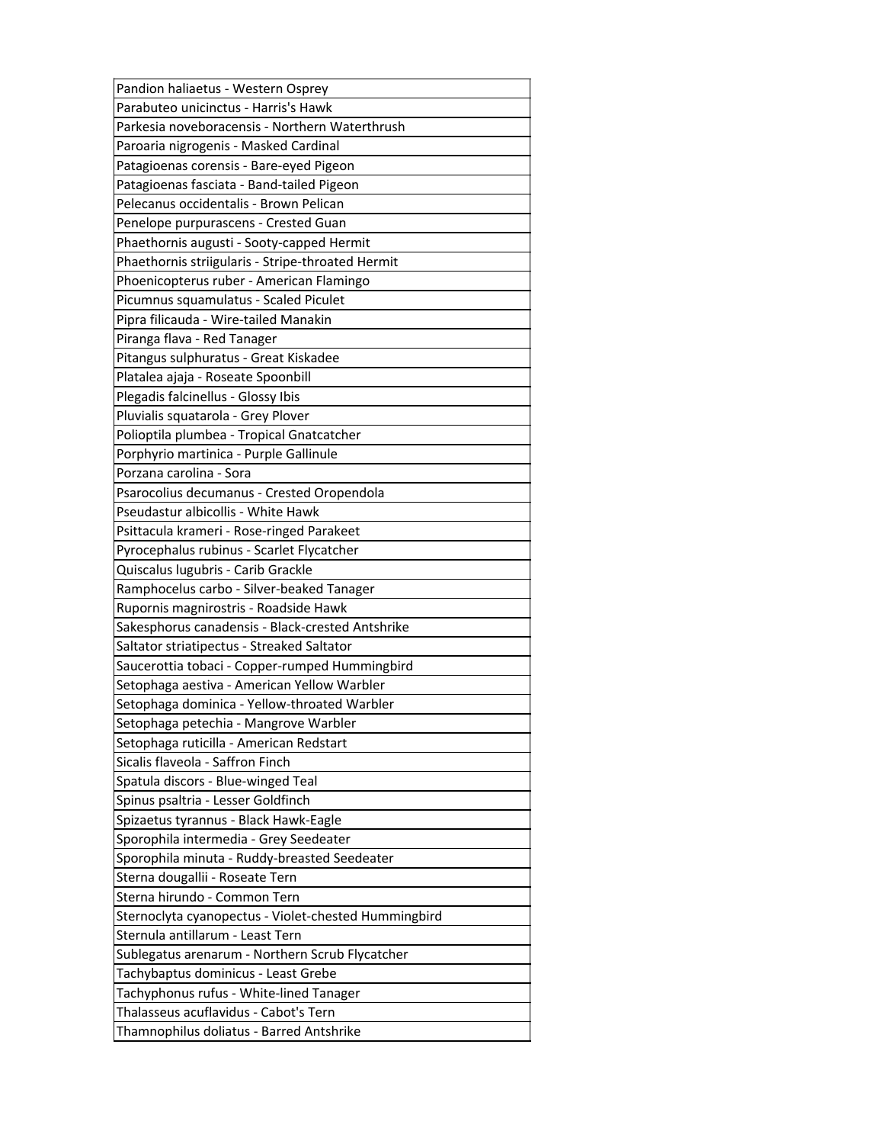| Pandion haliaetus - Western Osprey                   |
|------------------------------------------------------|
| Parabuteo unicinctus - Harris's Hawk                 |
| Parkesia noveboracensis - Northern Waterthrush       |
| Paroaria nigrogenis - Masked Cardinal                |
| Patagioenas corensis - Bare-eyed Pigeon              |
| Patagioenas fasciata - Band-tailed Pigeon            |
| Pelecanus occidentalis - Brown Pelican               |
| Penelope purpurascens - Crested Guan                 |
| Phaethornis augusti - Sooty-capped Hermit            |
| Phaethornis striigularis - Stripe-throated Hermit    |
| Phoenicopterus ruber - American Flamingo             |
| Picumnus squamulatus - Scaled Piculet                |
| Pipra filicauda - Wire-tailed Manakin                |
| Piranga flava - Red Tanager                          |
| Pitangus sulphuratus - Great Kiskadee                |
| Platalea ajaja - Roseate Spoonbill                   |
| Plegadis falcinellus - Glossy Ibis                   |
| Pluvialis squatarola - Grey Plover                   |
| Polioptila plumbea - Tropical Gnatcatcher            |
| Porphyrio martinica - Purple Gallinule               |
| Porzana carolina - Sora                              |
| Psarocolius decumanus - Crested Oropendola           |
| Pseudastur albicollis - White Hawk                   |
| Psittacula krameri - Rose-ringed Parakeet            |
| Pyrocephalus rubinus - Scarlet Flycatcher            |
| Quiscalus lugubris - Carib Grackle                   |
| Ramphocelus carbo - Silver-beaked Tanager            |
| Rupornis magnirostris - Roadside Hawk                |
| Sakesphorus canadensis - Black-crested Antshrike     |
| Saltator striatipectus - Streaked Saltator           |
| Saucerottia tobaci - Copper-rumped Hummingbird       |
| Setophaga aestiva - American Yellow Warbler          |
| Setophaga dominica - Yellow-throated Warbler         |
| Setophaga petechia - Mangrove Warbler                |
| Setophaga ruticilla - American Redstart              |
| Sicalis flaveola - Saffron Finch                     |
| Spatula discors - Blue-winged Teal                   |
| Spinus psaltria - Lesser Goldfinch                   |
| Spizaetus tyrannus - Black Hawk-Eagle                |
| Sporophila intermedia - Grey Seedeater               |
| Sporophila minuta - Ruddy-breasted Seedeater         |
| Sterna dougallii - Roseate Tern                      |
| Sterna hirundo - Common Tern                         |
| Sternoclyta cyanopectus - Violet-chested Hummingbird |
| Sternula antillarum - Least Tern                     |
| Sublegatus arenarum - Northern Scrub Flycatcher      |
| Tachybaptus dominicus - Least Grebe                  |
| Tachyphonus rufus - White-lined Tanager              |
|                                                      |
| Thalasseus acuflavidus - Cabot's Tern                |